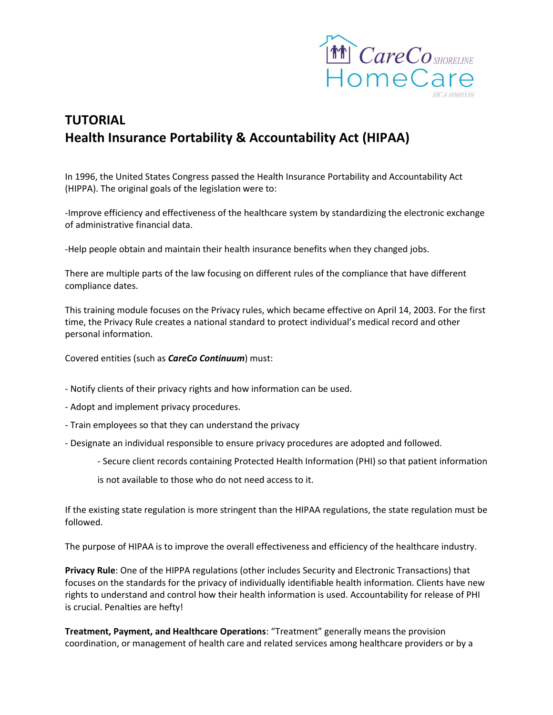

# **TUTORIAL Health Insurance Portability & Accountability Act (HIPAA)**

In 1996, the United States Congress passed the Health Insurance Portability and Accountability Act (HIPPA). The original goals of the legislation were to:

-Improve efficiency and effectiveness of the healthcare system by standardizing the electronic exchange of administrative financial data.

-Help people obtain and maintain their health insurance benefits when they changed jobs.

There are multiple parts of the law focusing on different rules of the compliance that have different compliance dates.

This training module focuses on the Privacy rules, which became effective on April 14, 2003. For the first time, the Privacy Rule creates a national standard to protect individual's medical record and other personal information.

Covered entities (such as *CareCo Continuum*) must:

- Notify clients of their privacy rights and how information can be used.
- Adopt and implement privacy procedures.
- Train employees so that they can understand the privacy
- Designate an individual responsible to ensure privacy procedures are adopted and followed.
	- Secure client records containing Protected Health Information (PHI) so that patient information
	- is not available to those who do not need access to it.

If the existing state regulation is more stringent than the HIPAA regulations, the state regulation must be followed.

The purpose of HIPAA is to improve the overall effectiveness and efficiency of the healthcare industry.

**Privacy Rule**: One of the HIPPA regulations (other includes Security and Electronic Transactions) that focuses on the standards for the privacy of individually identifiable health information. Clients have new rights to understand and control how their health information is used. Accountability for release of PHI is crucial. Penalties are hefty!

**Treatment, Payment, and Healthcare Operations**: "Treatment" generally means the provision coordination, or management of health care and related services among healthcare providers or by a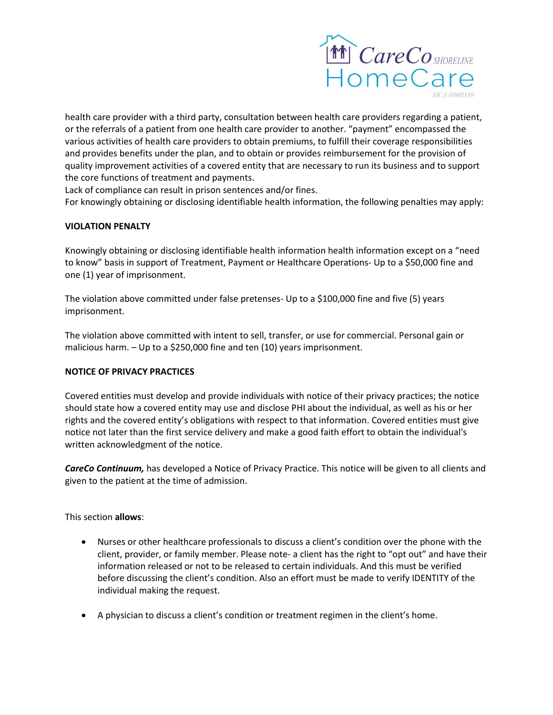

health care provider with a third party, consultation between health care providers regarding a patient, or the referrals of a patient from one health care provider to another. "payment" encompassed the various activities of health care providers to obtain premiums, to fulfill their coverage responsibilities and provides benefits under the plan, and to obtain or provides reimbursement for the provision of quality improvement activities of a covered entity that are necessary to run its business and to support the core functions of treatment and payments.

Lack of compliance can result in prison sentences and/or fines.

For knowingly obtaining or disclosing identifiable health information, the following penalties may apply:

## **VIOLATION PENALTY**

Knowingly obtaining or disclosing identifiable health information health information except on a "need to know" basis in support of Treatment, Payment or Healthcare Operations- Up to a \$50,000 fine and one (1) year of imprisonment.

The violation above committed under false pretenses- Up to a \$100,000 fine and five (5) years imprisonment.

The violation above committed with intent to sell, transfer, or use for commercial. Personal gain or malicious harm. – Up to a \$250,000 fine and ten (10) years imprisonment.

#### **NOTICE OF PRIVACY PRACTICES**

Covered entities must develop and provide individuals with notice of their privacy practices; the notice should state how a covered entity may use and disclose PHI about the individual, as well as his or her rights and the covered entity's obligations with respect to that information. Covered entities must give notice not later than the first service delivery and make a good faith effort to obtain the individual's written acknowledgment of the notice.

*CareCo Continuum,* has developed a Notice of Privacy Practice. This notice will be given to all clients and given to the patient at the time of admission.

This section **allows**:

- Nurses or other healthcare professionals to discuss a client's condition over the phone with the client, provider, or family member. Please note- a client has the right to "opt out" and have their information released or not to be released to certain individuals. And this must be verified before discussing the client's condition. Also an effort must be made to verify IDENTITY of the individual making the request.
- A physician to discuss a client's condition or treatment regimen in the client's home.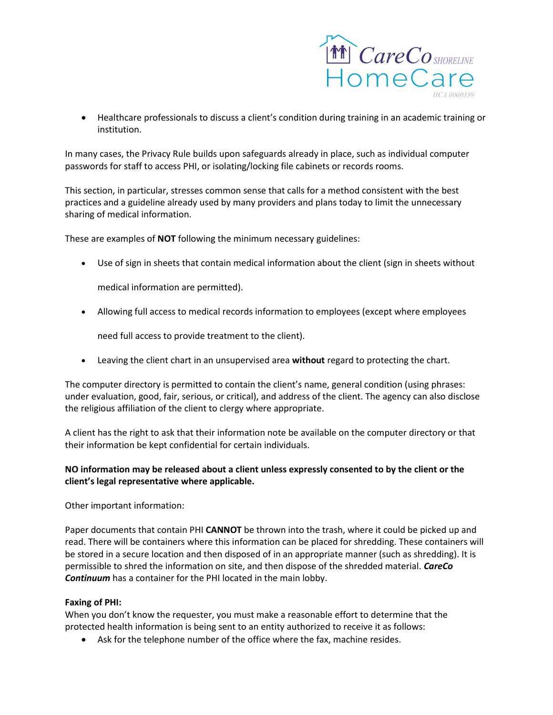

 Healthcare professionals to discuss a client's condition during training in an academic training or institution.

In many cases, the Privacy Rule builds upon safeguards already in place, such as individual computer passwords for staff to access PHI, or isolating/locking file cabinets or records rooms.

This section, in particular, stresses common sense that calls for a method consistent with the best practices and a guideline already used by many providers and plans today to limit the unnecessary sharing of medical information.

These are examples of **NOT** following the minimum necessary guidelines:

Use of sign in sheets that contain medical information about the client (sign in sheets without

medical information are permitted).

Allowing full access to medical records information to employees (except where employees

need full access to provide treatment to the client).

Leaving the client chart in an unsupervised area **without** regard to protecting the chart.

The computer directory is permitted to contain the client's name, general condition (using phrases: under evaluation, good, fair, serious, or critical), and address of the client. The agency can also disclose the religious affiliation of the client to clergy where appropriate.

A client has the right to ask that their information note be available on the computer directory or that their information be kept confidential for certain individuals.

## **NO information may be released about a client unless expressly consented to by the client or the client's legal representative where applicable.**

Other important information:

Paper documents that contain PHI **CANNOT** be thrown into the trash, where it could be picked up and read. There will be containers where this information can be placed for shredding. These containers will be stored in a secure location and then disposed of in an appropriate manner (such as shredding). It is permissible to shred the information on site, and then dispose of the shredded material. *CareCo Continuum* has a container for the PHI located in the main lobby.

## **Faxing of PHI:**

When you don't know the requester, you must make a reasonable effort to determine that the protected health information is being sent to an entity authorized to receive it as follows:

Ask for the telephone number of the office where the fax, machine resides.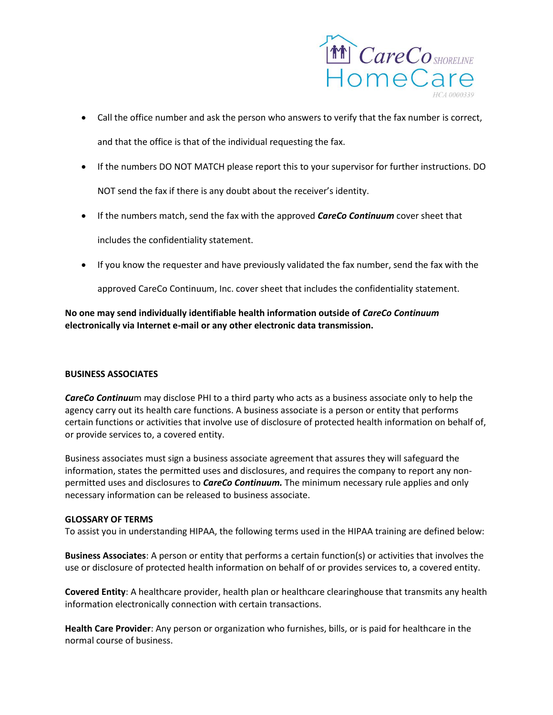

- Call the office number and ask the person who answers to verify that the fax number is correct, and that the office is that of the individual requesting the fax.
- If the numbers DO NOT MATCH please report this to your supervisor for further instructions. DO NOT send the fax if there is any doubt about the receiver's identity.
- If the numbers match, send the fax with the approved *CareCo Continuum* cover sheet that

includes the confidentiality statement.

If you know the requester and have previously validated the fax number, send the fax with the

approved CareCo Continuum, Inc. cover sheet that includes the confidentiality statement.

# **No one may send individually identifiable health information outside of** *CareCo Continuum* **electronically via Internet e-mail or any other electronic data transmission.**

## **BUSINESS ASSOCIATES**

*CareCo Continuu*m may disclose PHI to a third party who acts as a business associate only to help the agency carry out its health care functions. A business associate is a person or entity that performs certain functions or activities that involve use of disclosure of protected health information on behalf of, or provide services to, a covered entity.

Business associates must sign a business associate agreement that assures they will safeguard the information, states the permitted uses and disclosures, and requires the company to report any nonpermitted uses and disclosures to *CareCo Continuum.* The minimum necessary rule applies and only necessary information can be released to business associate.

## **GLOSSARY OF TERMS**

To assist you in understanding HIPAA, the following terms used in the HIPAA training are defined below:

**Business Associates**: A person or entity that performs a certain function(s) or activities that involves the use or disclosure of protected health information on behalf of or provides services to, a covered entity.

**Covered Entity**: A healthcare provider, health plan or healthcare clearinghouse that transmits any health information electronically connection with certain transactions.

**Health Care Provider**: Any person or organization who furnishes, bills, or is paid for healthcare in the normal course of business.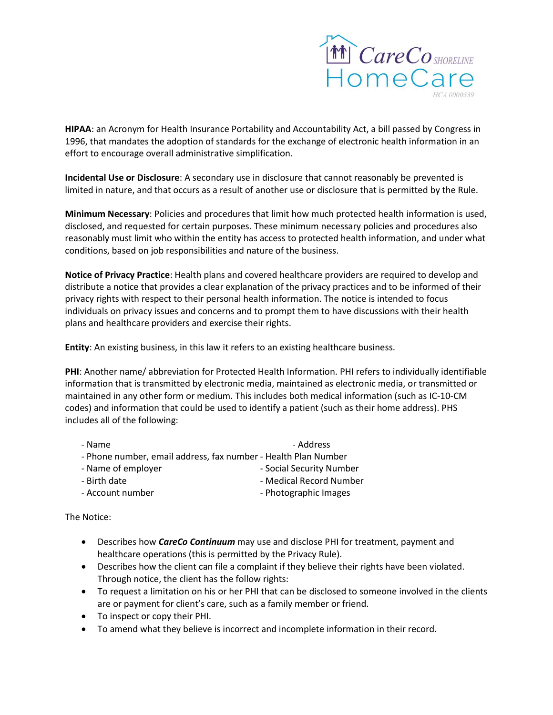

**HIPAA**: an Acronym for Health Insurance Portability and Accountability Act, a bill passed by Congress in 1996, that mandates the adoption of standards for the exchange of electronic health information in an effort to encourage overall administrative simplification.

**Incidental Use or Disclosure**: A secondary use in disclosure that cannot reasonably be prevented is limited in nature, and that occurs as a result of another use or disclosure that is permitted by the Rule.

**Minimum Necessary**: Policies and procedures that limit how much protected health information is used, disclosed, and requested for certain purposes. These minimum necessary policies and procedures also reasonably must limit who within the entity has access to protected health information, and under what conditions, based on job responsibilities and nature of the business.

**Notice of Privacy Practice**: Health plans and covered healthcare providers are required to develop and distribute a notice that provides a clear explanation of the privacy practices and to be informed of their privacy rights with respect to their personal health information. The notice is intended to focus individuals on privacy issues and concerns and to prompt them to have discussions with their health plans and healthcare providers and exercise their rights.

**Entity**: An existing business, in this law it refers to an existing healthcare business.

**PHI**: Another name/ abbreviation for Protected Health Information. PHI refers to individually identifiable information that is transmitted by electronic media, maintained as electronic media, or transmitted or maintained in any other form or medium. This includes both medical information (such as IC-10-CM codes) and information that could be used to identify a patient (such as their home address). PHS includes all of the following:

| - Name                                                         | - Address                |
|----------------------------------------------------------------|--------------------------|
| - Phone number, email address, fax number - Health Plan Number |                          |
| - Name of employer                                             | - Social Security Number |
| - Birth date                                                   | - Medical Record Number  |
| - Account number                                               | - Photographic Images    |
|                                                                |                          |

The Notice:

- Describes how *CareCo Continuum* may use and disclose PHI for treatment, payment and healthcare operations (this is permitted by the Privacy Rule).
- Describes how the client can file a complaint if they believe their rights have been violated. Through notice, the client has the follow rights:
- To request a limitation on his or her PHI that can be disclosed to someone involved in the clients are or payment for client's care, such as a family member or friend.
- To inspect or copy their PHI.
- To amend what they believe is incorrect and incomplete information in their record.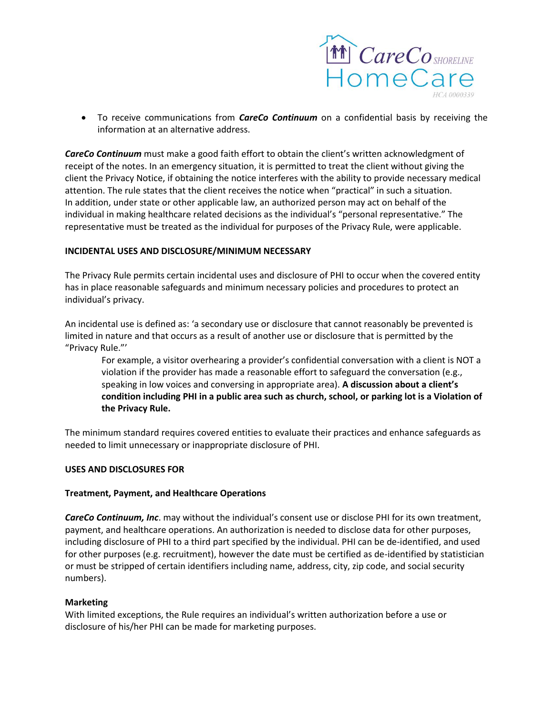

 To receive communications from *CareCo Continuum* on a confidential basis by receiving the information at an alternative address.

*CareCo Continuum* must make a good faith effort to obtain the client's written acknowledgment of receipt of the notes. In an emergency situation, it is permitted to treat the client without giving the client the Privacy Notice, if obtaining the notice interferes with the ability to provide necessary medical attention. The rule states that the client receives the notice when "practical" in such a situation. In addition, under state or other applicable law, an authorized person may act on behalf of the individual in making healthcare related decisions as the individual's "personal representative." The representative must be treated as the individual for purposes of the Privacy Rule, were applicable.

## **INCIDENTAL USES AND DISCLOSURE/MINIMUM NECESSARY**

The Privacy Rule permits certain incidental uses and disclosure of PHI to occur when the covered entity has in place reasonable safeguards and minimum necessary policies and procedures to protect an individual's privacy.

An incidental use is defined as: 'a secondary use or disclosure that cannot reasonably be prevented is limited in nature and that occurs as a result of another use or disclosure that is permitted by the "Privacy Rule."'

For example, a visitor overhearing a provider's confidential conversation with a client is NOT a violation if the provider has made a reasonable effort to safeguard the conversation (e.g., speaking in low voices and conversing in appropriate area). **A discussion about a client's condition including PHI in a public area such as church, school, or parking lot is a Violation of the Privacy Rule.** 

The minimum standard requires covered entities to evaluate their practices and enhance safeguards as needed to limit unnecessary or inappropriate disclosure of PHI.

#### **USES AND DISCLOSURES FOR**

## **Treatment, Payment, and Healthcare Operations**

*CareCo Continuum, Inc*. may without the individual's consent use or disclose PHI for its own treatment, payment, and healthcare operations. An authorization is needed to disclose data for other purposes, including disclosure of PHI to a third part specified by the individual. PHI can be de-identified, and used for other purposes (e.g. recruitment), however the date must be certified as de-identified by statistician or must be stripped of certain identifiers including name, address, city, zip code, and social security numbers).

#### **Marketing**

With limited exceptions, the Rule requires an individual's written authorization before a use or disclosure of his/her PHI can be made for marketing purposes.